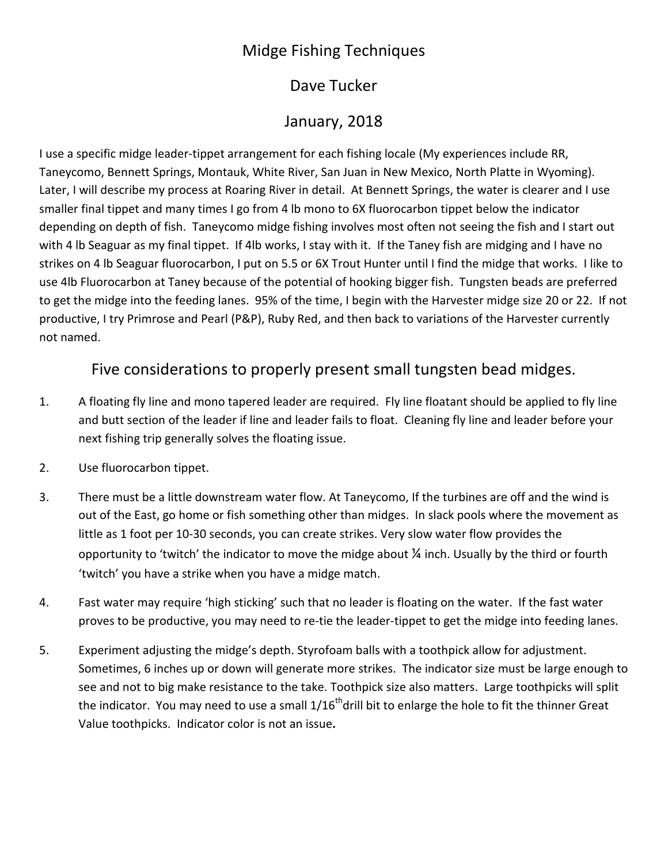## Midge Fishing Techniques

#### Dave Tucker

## January, 2018

I use a specific midge leader-tippet arrangement for each fishing locale (My experiences include RR, Taneycomo, Bennett Springs, Montauk, White River, San Juan in New Mexico, North Platte in Wyoming). Later, I will describe my process at Roaring River in detail. At Bennett Springs, the water is clearer and I use smaller final tippet and many times I go from 4 lb mono to 6X fluorocarbon tippet below the indicator depending on depth of fish. Taneycomo midge fishing involves most often not seeing the fish and I start out with 4 lb Seaguar as my final tippet. If 4lb works, I stay with it. If the Taney fish are midging and I have no strikes on 4 lb Seaguar fluorocarbon, I put on 5.5 or 6X Trout Hunter until I find the midge that works. I like to use 4lb Fluorocarbon at Taney because of the potential of hooking bigger fish. Tungsten beads are preferred to get the midge into the feeding lanes. 95% of the time, I begin with the Harvester midge size 20 or 22. If not productive, I try Primrose and Pearl (P&P), Ruby Red, and then back to variations of the Harvester currently not named.

#### Five considerations to properly present small tungsten bead midges.

- 1. A floating fly line and mono tapered leader are required. Fly line floatant should be applied to fly line and butt section of the leader if line and leader fails to float. Cleaning fly line and leader before your next fishing trip generally solves the floating issue.
- 2. Use fluorocarbon tippet.
- 3. There must be a little downstream water flow. At Taneycomo, If the turbines are off and the wind is out of the East, go home or fish something other than midges. In slack pools where the movement as little as 1 foot per 10-30 seconds, you can create strikes. Very slow water flow provides the opportunity to 'twitch' the indicator to move the midge about ¼ inch. Usually by the third or fourth 'twitch' you have a strike when you have a midge match.
- 4. Fast water may require 'high sticking' such that no leader is floating on the water. If the fast water proves to be productive, you may need to re-tie the leader-tippet to get the midge into feeding lanes.
- 5. Experiment adjusting the midge's depth. Styrofoam balls with a toothpick allow for adjustment. Sometimes, 6 inches up or down will generate more strikes. The indicator size must be large enough to see and not to big make resistance to the take. Toothpick size also matters. Large toothpicks will split the indicator. You may need to use a small  $1/16<sup>th</sup>$ drill bit to enlarge the hole to fit the thinner Great Value toothpicks. Indicator color is not an issue**.**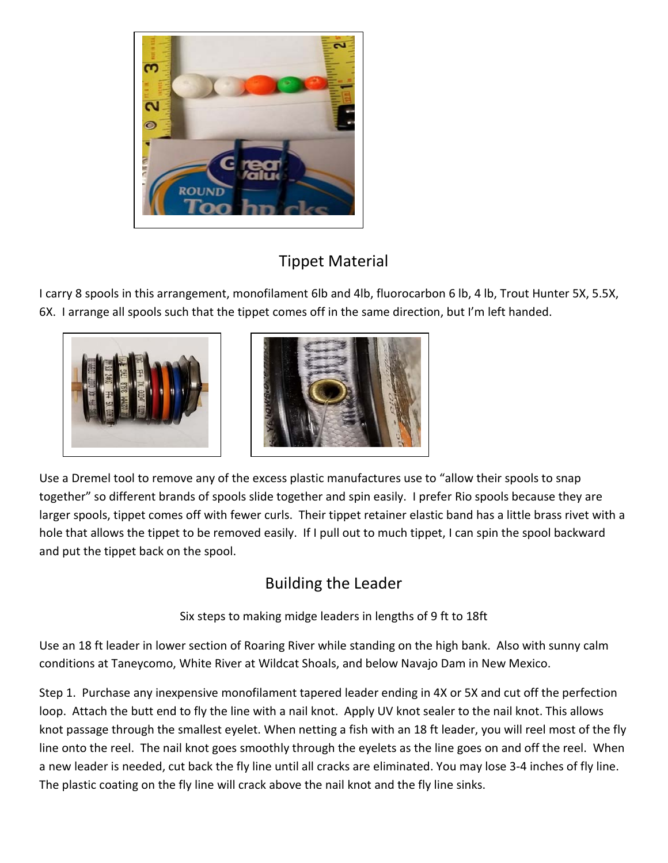

## Tippet Material

I carry 8 spools in this arrangement, monofilament 6lb and 4lb, fluorocarbon 6 lb, 4 lb, Trout Hunter 5X, 5.5X, 6X. I arrange all spools such that the tippet comes off in the same direction, but I'm left handed.





Use a Dremel tool to remove any of the excess plastic manufactures use to "allow their spools to snap together" so different brands of spools slide together and spin easily. I prefer Rio spools because they are larger spools, tippet comes off with fewer curls. Their tippet retainer elastic band has a little brass rivet with a hole that allows the tippet to be removed easily. If I pull out to much tippet, I can spin the spool backward and put the tippet back on the spool.

# Building the Leader

Six steps to making midge leaders in lengths of 9 ft to 18ft

Use an 18 ft leader in lower section of Roaring River while standing on the high bank. Also with sunny calm conditions at Taneycomo, White River at Wildcat Shoals, and below Navajo Dam in New Mexico.

Step 1. Purchase any inexpensive monofilament tapered leader ending in 4X or 5X and cut off the perfection loop. Attach the butt end to fly the line with a nail knot. Apply UV knot sealer to the nail knot. This allows knot passage through the smallest eyelet. When netting a fish with an 18 ft leader, you will reel most of the fly line onto the reel. The nail knot goes smoothly through the eyelets as the line goes on and off the reel. When a new leader is needed, cut back the fly line until all cracks are eliminated. You may lose 3-4 inches of fly line. The plastic coating on the fly line will crack above the nail knot and the fly line sinks.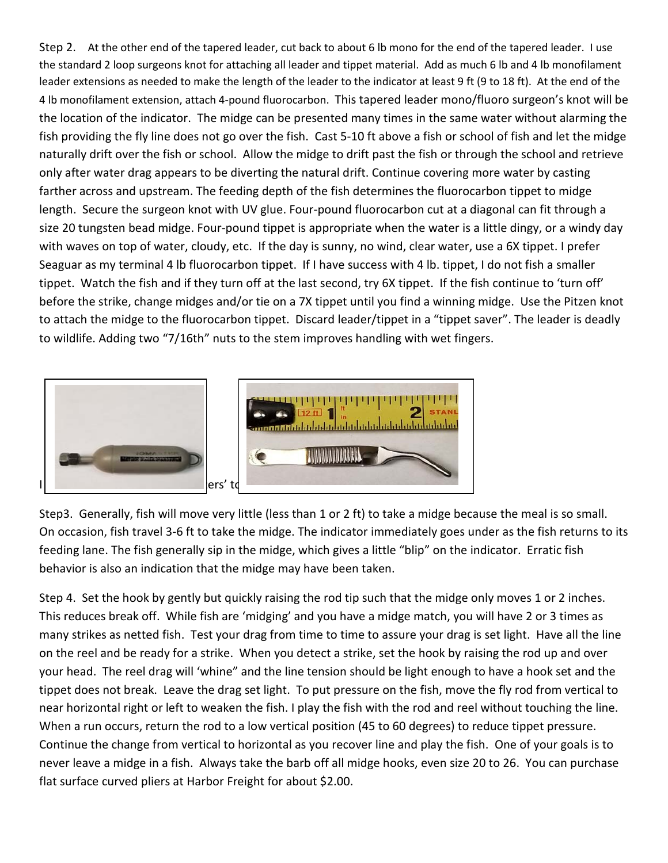Step 2. At the other end of the tapered leader, cut back to about 6 lb mono for the end of the tapered leader. I use the standard 2 loop surgeons knot for attaching all leader and tippet material. Add as much 6 lb and 4 lb monofilament leader extensions as needed to make the length of the leader to the indicator at least 9 ft (9 to 18 ft). At the end of the 4 lb monofilament extension, attach 4-pound fluorocarbon. This tapered leader mono/fluoro surgeon's knot will be the location of the indicator. The midge can be presented many times in the same water without alarming the fish providing the fly line does not go over the fish. Cast 5-10 ft above a fish or school of fish and let the midge naturally drift over the fish or school. Allow the midge to drift past the fish or through the school and retrieve only after water drag appears to be diverting the natural drift. Continue covering more water by casting farther across and upstream. The feeding depth of the fish determines the fluorocarbon tippet to midge length. Secure the surgeon knot with UV glue. Four-pound fluorocarbon cut at a diagonal can fit through a size 20 tungsten bead midge. Four-pound tippet is appropriate when the water is a little dingy, or a windy day with waves on top of water, cloudy, etc. If the day is sunny, no wind, clear water, use a 6X tippet. I prefer Seaguar as my terminal 4 lb fluorocarbon tippet. If I have success with 4 lb. tippet, I do not fish a smaller tippet. Watch the fish and if they turn off at the last second, try 6X tippet. If the fish continue to 'turn off' before the strike, change midges and/or tie on a 7X tippet until you find a winning midge. Use the Pitzen knot to attach the midge to the fluorocarbon tippet. Discard leader/tippet in a "tippet saver". The leader is deadly to wildlife. Adding two "7/16th" nuts to the stem improves handling with wet fingers.



Step3. Generally, fish will move very little (less than 1 or 2 ft) to take a midge because the meal is so small. On occasion, fish travel 3-6 ft to take the midge. The indicator immediately goes under as the fish returns to its feeding lane. The fish generally sip in the midge, which gives a little "blip" on the indicator. Erratic fish behavior is also an indication that the midge may have been taken.

Step 4. Set the hook by gently but quickly raising the rod tip such that the midge only moves 1 or 2 inches. This reduces break off. While fish are 'midging' and you have a midge match, you will have 2 or 3 times as many strikes as netted fish. Test your drag from time to time to assure your drag is set light. Have all the line on the reel and be ready for a strike. When you detect a strike, set the hook by raising the rod up and over your head. The reel drag will 'whine" and the line tension should be light enough to have a hook set and the tippet does not break. Leave the drag set light. To put pressure on the fish, move the fly rod from vertical to near horizontal right or left to weaken the fish. I play the fish with the rod and reel without touching the line. When a run occurs, return the rod to a low vertical position (45 to 60 degrees) to reduce tippet pressure. Continue the change from vertical to horizontal as you recover line and play the fish. One of your goals is to never leave a midge in a fish. Always take the barb off all midge hooks, even size 20 to 26. You can purchase flat surface curved pliers at Harbor Freight for about \$2.00.